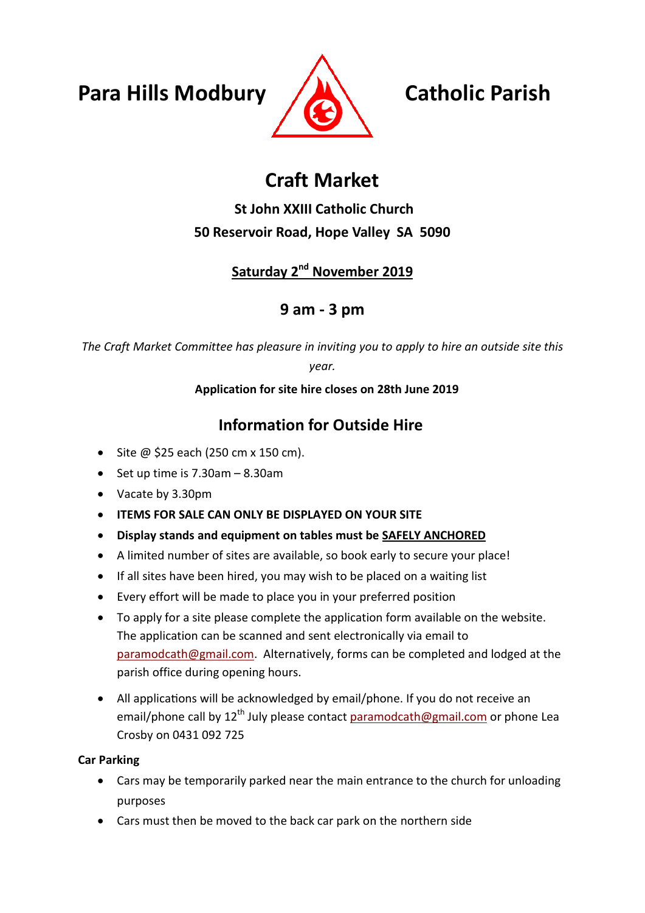**Para Hills Modbury Catholic Parish**



# **Craft Market**

# **St John XXIII Catholic Church 50 Reservoir Road, Hope Valley SA 5090**

# **Saturday 2nd November 2019**

# **9 am - 3 pm**

*The Craft Market Committee has pleasure in inviting you to apply to hire an outside site this* 

*year.* 

#### **Application for site hire closes on 28th June 2019**

# **Information for Outside Hire**

- $\bullet$  Site @ \$25 each (250 cm x 150 cm).
- $\bullet$  Set up time is 7.30am 8.30am
- Vacate by 3.30pm
- **ITEMS FOR SALE CAN ONLY BE DISPLAYED ON YOUR SITE**
- **Display stands and equipment on tables must be SAFELY ANCHORED**
- A limited number of sites are available, so book early to secure your place!
- If all sites have been hired, you may wish to be placed on a waiting list
- Every effort will be made to place you in your preferred position
- To apply for a site please complete the application form available on the website. The application can be scanned and sent electronically via email to [paramodcath@gmail.com.](mailto:paramodcath@gmail.com) Alternatively, forms can be completed and lodged at the parish office during opening hours.
- All applications will be acknowledged by email/phone. If you do not receive an email/phone call by 12<sup>th</sup> July please contact [paramodcath@gmail.com](mailto:paramodcath@gmail.com) or phone Lea Crosby on 0431 092 725

#### **Car Parking**

- Cars may be temporarily parked near the main entrance to the church for unloading purposes
- Cars must then be moved to the back car park on the northern side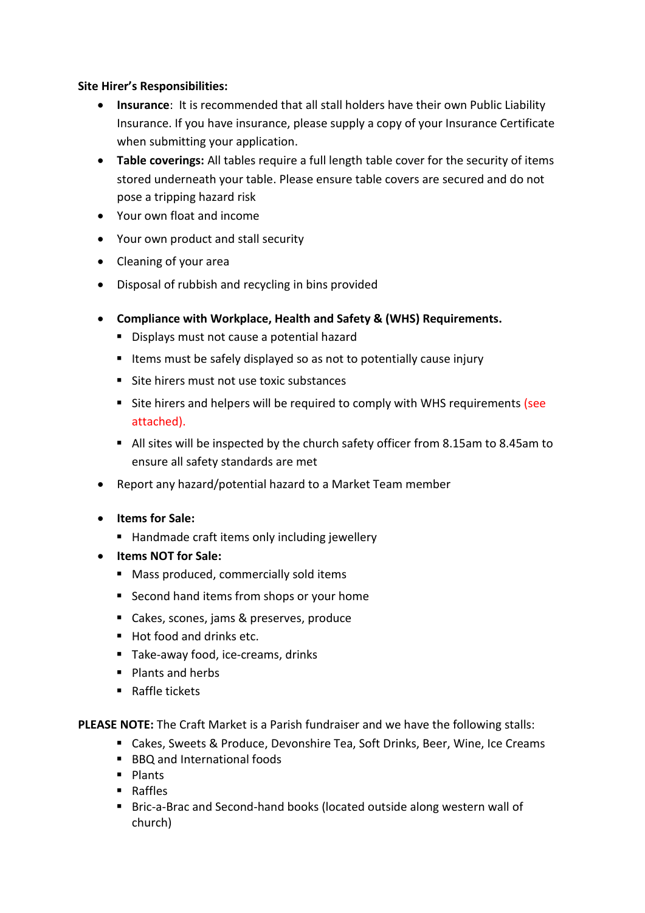#### **Site Hirer's Responsibilities:**

- **Insurance**: It is recommended that all stall holders have their own Public Liability Insurance. If you have insurance, please supply a copy of your Insurance Certificate when submitting your application.
- **Table coverings:** All tables require a full length table cover for the security of items stored underneath your table. Please ensure table covers are secured and do not pose a tripping hazard risk
- Your own float and income
- Your own product and stall security
- Cleaning of your area
- Disposal of rubbish and recycling in bins provided
- **Compliance with Workplace, Health and Safety & (WHS) Requirements.**
	- Displays must not cause a potential hazard
	- Items must be safely displayed so as not to potentially cause injury
	- Site hirers must not use toxic substances
	- Site hirers and helpers will be required to comply with WHS requirements (see attached).
	- All sites will be inspected by the church safety officer from 8.15am to 8.45am to ensure all safety standards are met
- Report any hazard/potential hazard to a Market Team member
- **Items for Sale:**
	- Handmade craft items only including jewellery
- **Items NOT for Sale:**
	- Mass produced, commercially sold items
	- Second hand items from shops or your home
	- Cakes, scones, jams & preserves, produce
	- $Hot$  food and drinks etc.
	- Take-away food, ice-creams, drinks
	- **Plants and herbs**
	- Raffle tickets

**PLEASE NOTE:** The Craft Market is a Parish fundraiser and we have the following stalls:

- Cakes, Sweets & Produce, Devonshire Tea, Soft Drinks, Beer, Wine, Ice Creams
- BBQ and International foods
- $\blacksquare$  Plants
- **B** Raffles
- Bric-a-Brac and Second-hand books (located outside along western wall of church)